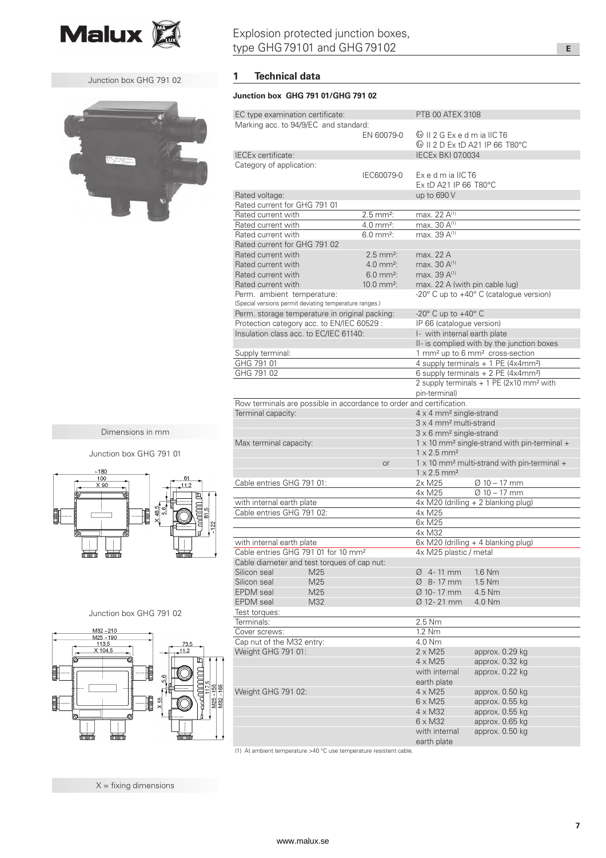

Junction box GHG 791 02



Junction box GHG 791 01

ğ

 $-180$  $\frac{100}{\text{X }90}$ 

畺

聶

 $\frac{\text{M32}\sim210}{\text{M25}\sim190}$   $\frac{113.5}{\text{X }104.5}$ 

矗

Ì

非

非

Dimensions in mm

Junction box GHG 791 02

∥

Ş,

randininin

132

## Explosion protected junction boxes, type GHG 79101 and GHG 79102

### **1 Technical data**

### **Junction box GHG 791 01/GHG 791 02**

| EC type examination certificate:                                     |                         | <b>PTB 00 ATEX 3108</b>                                         |                                                                |
|----------------------------------------------------------------------|-------------------------|-----------------------------------------------------------------|----------------------------------------------------------------|
| Marking acc. to 94/9/EC and standard:                                |                         |                                                                 |                                                                |
|                                                                      | EN 60079-0              | $\circ$ II 2 G Ex e d m ia IIC T6                               |                                                                |
|                                                                      |                         |                                                                 |                                                                |
| IECEx certificate:                                                   |                         | <b>IECEX BKI 07.0034</b>                                        |                                                                |
| Category of application:                                             |                         |                                                                 |                                                                |
|                                                                      | IEC60079-0              | ExedmialICT6                                                    |                                                                |
|                                                                      |                         | Ex tD A21 IP 66 T80°C                                           |                                                                |
| Rated voltage:                                                       |                         | up to 690 V                                                     |                                                                |
| Rated current for GHG 791 01                                         |                         |                                                                 |                                                                |
| Rated current with                                                   | $2.5$ mm <sup>2</sup> : | max. 22 A <sup>(1)</sup>                                        |                                                                |
| Rated current with                                                   | $4.0 \, \text{mm}^2$ :  | max. 30 A <sup>(1)</sup>                                        |                                                                |
| Rated current with                                                   | $6.0 \text{ mm}^2$ :    | max. 39 A <sup>(1)</sup>                                        |                                                                |
| Rated current for GHG 791 02                                         |                         |                                                                 |                                                                |
| Rated current with                                                   | $2.5 \, \text{mm}^2$ :  | max. 22 A                                                       |                                                                |
| Rated current with                                                   | $4.0 \text{ mm}^2$ :    | max. 30 A(1)                                                    |                                                                |
| Rated current with                                                   | $6.0 \text{ mm}^2$ :    | max. 39 A <sup>(1)</sup>                                        |                                                                |
| Rated current with                                                   | $10.0 \text{ mm}^2$ :   | max. 22 A (with pin cable lug)                                  |                                                                |
| Perm. ambient temperature:                                           |                         | -20° C up to +40° C (catalogue version)                         |                                                                |
| (Special versions permit deviating temperature ranges.)              |                         |                                                                 |                                                                |
| Perm. storage temperature in original packing:                       |                         | -20 $^{\circ}$ C up to +40 $^{\circ}$ C                         |                                                                |
| Protection category acc. to EN/IEC 60529 :                           |                         | IP 66 (catalogue version)                                       |                                                                |
| Insulation class acc. to EC/IEC 61140:                               |                         | I- with internal earth plate                                    |                                                                |
|                                                                      |                         | II- is complied with by the junction boxes                      |                                                                |
| Supply terminal:                                                     |                         |                                                                 | 1 mm <sup>2</sup> up to 6 mm <sup>2</sup> cross-section        |
| GHG 791 01                                                           |                         | 4 supply terminals $+ 1$ PE (4x4mm <sup>2</sup> )               |                                                                |
| GHG 791 02                                                           |                         | 6 supply terminals + 2 PE (4x4mm <sup>2</sup> )                 |                                                                |
|                                                                      |                         |                                                                 | 2 supply terminals $+$ 1 PE (2x10 mm <sup>2</sup> with         |
|                                                                      |                         | pin-terminal)                                                   |                                                                |
| Row terminals are possible in accordance to order and certification. |                         |                                                                 |                                                                |
| Terminal capacity:                                                   |                         | $4 \times 4$ mm <sup>2</sup> single-strand                      |                                                                |
|                                                                      |                         | 3 x 4 mm <sup>2</sup> multi-strand                              |                                                                |
|                                                                      |                         | $3 \times 6$ mm <sup>2</sup> single-strand                      |                                                                |
| Max terminal capacity:                                               |                         | $1 \times 10$ mm <sup>2</sup> single-strand with pin-terminal + |                                                                |
|                                                                      |                         | $1 \times 2.5$ mm <sup>2</sup>                                  |                                                                |
|                                                                      | or                      |                                                                 | $1 \times 10$ mm <sup>2</sup> multi-strand with pin-terminal + |
|                                                                      |                         | $1 \times 2.5$ mm <sup>2</sup>                                  |                                                                |
| Cable entries GHG 791 01:                                            |                         | 2x M25                                                          | $\varnothing$ 10 – 17 mm                                       |
|                                                                      |                         | 4x M25                                                          | $Ø$ 10 – 17 mm                                                 |
| with internal earth plate                                            |                         |                                                                 | 4x M20 (drilling + 2 blanking plug)                            |
| Cable entries GHG 791 02:                                            |                         | 4x M25                                                          |                                                                |
|                                                                      |                         | 6x M25                                                          |                                                                |
|                                                                      |                         | 4x M32                                                          |                                                                |
| with internal earth plate                                            |                         |                                                                 |                                                                |
| Cable entries GHG 791 01 for 10 mm <sup>2</sup>                      |                         | 6x M20 (drilling + 4 blanking plug)<br>4x M25 plastic / metal   |                                                                |
| Cable diameter and test torques of cap nut:                          |                         |                                                                 |                                                                |
| Silicon seal<br>M25                                                  |                         | $\varnothing$ 4-11 mm                                           | 1.6 Nm                                                         |
| Silicon seal<br>M25                                                  |                         | Ø 8-17 mm                                                       | 1.5 Nm                                                         |
| <b>EPDM</b> seal<br>M25                                              |                         | Ø 10-17 mm                                                      | 4.5 Nm                                                         |
| <b>EPDM</b> seal<br>M32                                              |                         | Ø 12-21 mm                                                      | 4.0 Nm                                                         |
| Test torques:                                                        |                         |                                                                 |                                                                |
| Terminals:                                                           |                         | 2.5 Nm                                                          |                                                                |
| Cover screws:                                                        |                         | 1.2 Nm                                                          |                                                                |
| Cap nut of the M32 entry:                                            |                         | 4.0 Nm                                                          |                                                                |
| Weight GHG 791 01:                                                   |                         | $2 \times M25$                                                  | approx. 0.29 kg                                                |
|                                                                      |                         | $4 \times M25$                                                  | approx. 0.32 kg                                                |
|                                                                      |                         | with internal                                                   | approx. 0.22 kg                                                |
|                                                                      |                         | earth plate                                                     |                                                                |
| Weight GHG 791 02:                                                   |                         | $4 \times M25$                                                  | approx. 0.50 kg                                                |
|                                                                      |                         | $6 \times M25$                                                  | approx. 0.55 kg                                                |
|                                                                      |                         |                                                                 |                                                                |
|                                                                      |                         | $4 \times M32$                                                  | approx. 0.55 kg                                                |
|                                                                      |                         | $6 \times M32$                                                  | approx. 0.65 kg                                                |
|                                                                      |                         | with internal                                                   | approx. 0.50 kg                                                |
|                                                                      |                         | earth plate                                                     |                                                                |

(1) At ambient temperature >40 °C use temperature resistent cable.

矗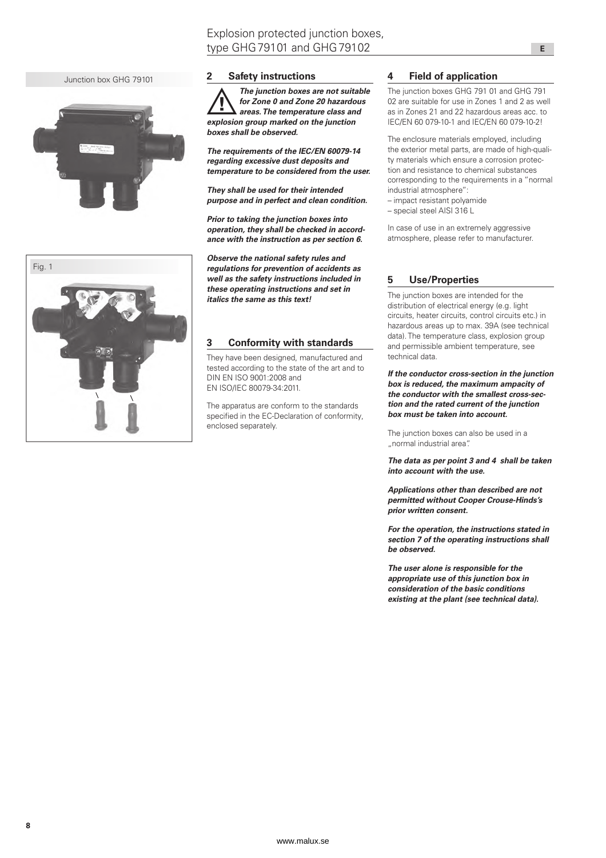Junction box GHG 79101



# Fig. 1

### **2 Safety instructions**

 $\overline{\mathbb{A}}$ *The junction boxes are not suitable for Zone 0 and Zone 20 hazardous areas. The temperature class and explosion group marked on the junction boxes shall be observed.*

*The requirements of the IEC/EN 60079-14 regarding excessive dust deposits and temperature to be considered from the user.*

*They shall be used for their intended purpose and in perfect and clean condition.*

*Prior to taking the junction boxes into operation, they shall be checked in accordance with the instruction as per section 6.*

*Observe the national safety rules and regulations for prevention of accidents as well as the safety instructions included in these operating instructions and set in italics the same as this text!*

### **3 Conformity with standards**

They have been designed, manufactured and tested according to the state of the art and to DIN EN ISO 9001:2008 and EN ISO/IEC 80079-34:2011.

The apparatus are conform to the standards specified in the EC-Declaration of conformity, enclosed separately.

### **4 Field of application**

The junction boxes GHG 791 01 and GHG 791 02 are suitable for use in Zones 1 and 2 as well as in Zones 21 and 22 hazardous areas acc. to IEC/EN 60 079-10-1 and IEC/EN 60 079-10-2!

The enclosure materials employed, including the exterior metal parts, are made of high-quality materials which ensure a corrosion protection and resistance to chemical substances corresponding to the requirements in a "normal industrial atmosphere":

- impact resistant polyamide
- special steel AISI 316 L

In case of use in an extremely aggressive atmosphere, please refer to manufacturer.

### **5 Use/Properties**

The junction boxes are intended for the distribution of electrical energy (e.g. light circuits, heater circuits, control circuits etc.) in hazardous areas up to max. 39A (see technical data). The temperature class, explosion group and permissible ambient temperature, see technical data.

*If the conductor cross-section in the junction box is reduced, the maximum ampacity of the conductor with the smallest cross-section and the rated current of the junction box must be taken into account.*

The junction boxes can also be used in a "normal industrial area".

*The data as per point 3 and 4 shall be taken into account with the use.*

*Applications other than described are not permitted without Cooper Crouse-Hinds's prior written consent.*

*For the operation, the instructions stated in section 7 of the operating instructions shall be observed.*

*The user alone is responsible for the appropriate use of this junction box in consideration of the basic conditions existing at the plant (see technical data).*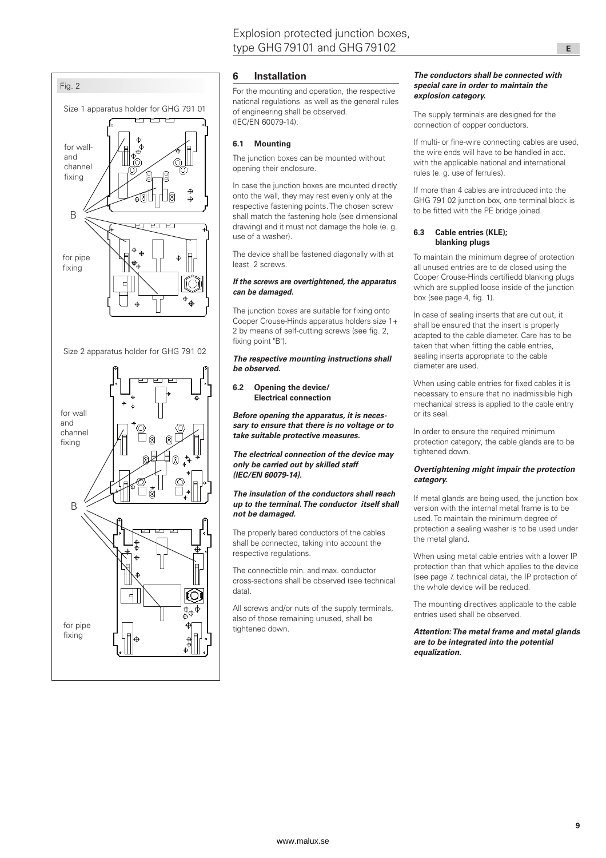

### **6 Installation**

For the mounting and operation, the respective national regulations as well as the general rules of engineering shall be observed. (IEC/EN 60079-14).

### **6.1 Mounting**

The junction boxes can be mounted without opening their enclosure.

In case the junction boxes are mounted directly onto the wall, they may rest evenly only at the respective fastening points. The chosen screw shall match the fastening hole (see dimensional drawing) and it must not damage the hole (e. g. use of a washer).

The device shall be fastened diagonally with at least 2 screws.

### *If the screws are overtightened, the apparatus can be damaged.*

The junction boxes are suitable for fixing onto Cooper Crouse-Hinds apparatus holders size 1+ 2 by means of self-cutting screws (see fig. 2, fixing point "B")

### *The respective mounting instructions shall be observed.*

### **6.2 Opening the device/ Electrical connection**

*Before opening the apparatus, it is necessary to ensure that there is no voltage or to take suitable protective measures.*

*The electrical connection of the device may only be carried out by skilled staff (IEC/EN 60079-14).*

### *The insulation of the conductors shall reach up to the terminal. The conductor itself shall not be damaged.*

The properly bared conductors of the cables shall be connected, taking into account the respective regulations.

The connectible min. and max. conductor cross-sections shall be observed (see technical data).

All screws and/or nuts of the supply terminals, also of those remaining unused, shall be tightened down.

### *The conductors shall be connected with special care in order to maintain the explosion category.*

The supply terminals are designed for the connection of copper conductors.

If multi- or fine-wire connecting cables are used, the wire ends will have to be handled in acc. with the applicable national and international rules (e. g. use of ferrules).

If more than 4 cables are introduced into the GHG 791 02 junction box, one terminal block is to be fitted with the PE bridge joined.

### **6.3 Cable entries (KLE); blanking plugs**

To maintain the minimum degree of protection all unused entries are to de closed using the Cooper Crouse-Hinds certifiedd blanking plugs which are supplied loose inside of the junction box (see page 4, fig. 1).

In case of sealing inserts that are cut out, it shall be ensured that the insert is properly adapted to the cable diameter. Care has to be taken that when fitting the cable entries, sealing inserts appropriate to the cable diameter are used.

When using cable entries for fixed cables it is necessary to ensure that no inadmissible high mechanical stress is applied to the cable entry or its seal.

In order to ensure the required minimum protection category, the cable glands are to be tightened down.

### *Overtightening might impair the protection category.*

If metal glands are being used, the junction box version with the internal metal frame is to be used. To maintain the minimum degree of protection a sealing washer is to be used under the metal gland.

When using metal cable entries with a lower IP protection than that which applies to the device (see page 7, technical data), the IP protection of the whole device will be reduced.

The mounting directives applicable to the cable entries used shall be observed.

*Attention: The metal frame and metal glands are to be integrated into the potential equalization.*